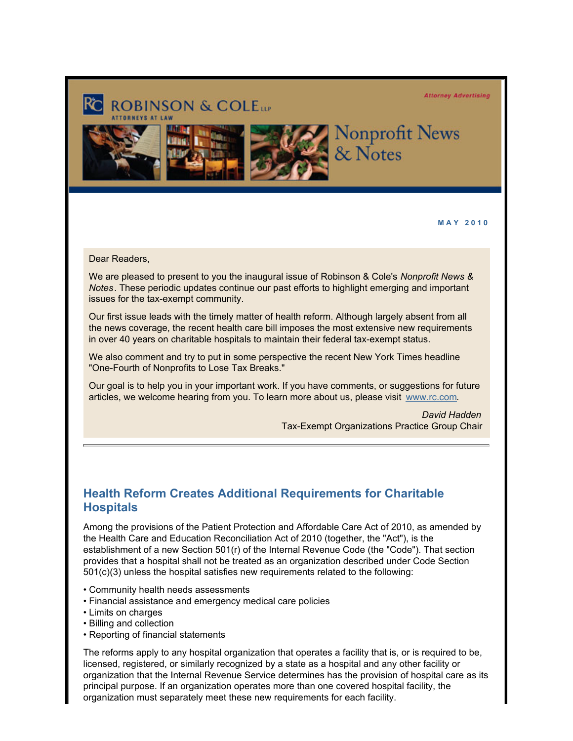**Attorney Advertising** 



**M A Y 2 0 1 0**

Dear Readers,

We are pleased to present to you the inaugural issue of Robinson & Cole's *Nonprofit News & Notes*. These periodic updates continue our past efforts to highlight emerging and important issues for the tax-exempt community.

Our first issue leads with the timely matter of health reform. Although largely absent from all the news coverage, the recent health care bill imposes the most extensive new requirements in over 40 years on charitable hospitals to maintain their federal tax-exempt status.

We also comment and try to put in some perspective the recent New York Times headline "One-Fourth of Nonprofits to Lose Tax Breaks."

Our goal is to help you in your important work. If you have comments, or suggestions for future articles, we welcome hearing from you. To learn more about us, please visit [www.rc.com](http://www.rc.com/?ju=fe2316767c6d0078771073&ls=fdeb10747163027b7d177372&m=fefb1671756c0d&l=fe941573716d077a75&s=fe191d757d600c7a751376&jb=ffcf14&t=).

> *David Hadden*  Tax-Exempt Organizations Practice Group Chair

## **Health Reform Creates Additional Requirements for Charitable Hospitals**

Among the provisions of the Patient Protection and Affordable Care Act of 2010, as amended by the Health Care and Education Reconciliation Act of 2010 (together, the "Act"), is the establishment of a new Section 501(r) of the Internal Revenue Code (the "Code"). That section provides that a hospital shall not be treated as an organization described under Code Section 501(c)(3) unless the hospital satisfies new requirements related to the following:

- Community health needs assessments
- Financial assistance and emergency medical care policies
- Limits on charges
- Billing and collection
- Reporting of financial statements

The reforms apply to any hospital organization that operates a facility that is, or is required to be, licensed, registered, or similarly recognized by a state as a hospital and any other facility or organization that the Internal Revenue Service determines has the provision of hospital care as its principal purpose. If an organization operates more than one covered hospital facility, the organization must separately meet these new requirements for each facility.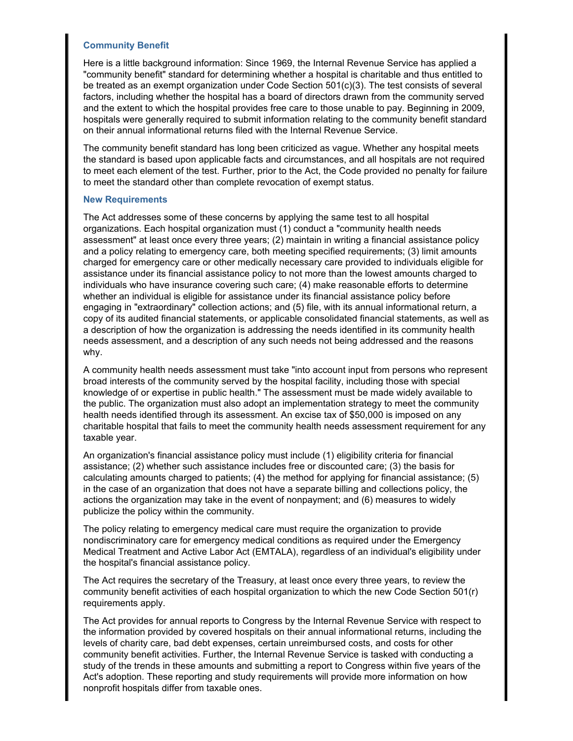### **Community Benefit**

Here is a little background information: Since 1969, the Internal Revenue Service has applied a "community benefit" standard for determining whether a hospital is charitable and thus entitled to be treated as an exempt organization under Code Section 501(c)(3). The test consists of several factors, including whether the hospital has a board of directors drawn from the community served and the extent to which the hospital provides free care to those unable to pay. Beginning in 2009, hospitals were generally required to submit information relating to the community benefit standard on their annual informational returns filed with the Internal Revenue Service.

The community benefit standard has long been criticized as vague. Whether any hospital meets the standard is based upon applicable facts and circumstances, and all hospitals are not required to meet each element of the test. Further, prior to the Act, the Code provided no penalty for failure to meet the standard other than complete revocation of exempt status.

#### **New Requirements**

The Act addresses some of these concerns by applying the same test to all hospital organizations. Each hospital organization must (1) conduct a "community health needs assessment" at least once every three years; (2) maintain in writing a financial assistance policy and a policy relating to emergency care, both meeting specified requirements; (3) limit amounts charged for emergency care or other medically necessary care provided to individuals eligible for assistance under its financial assistance policy to not more than the lowest amounts charged to individuals who have insurance covering such care; (4) make reasonable efforts to determine whether an individual is eligible for assistance under its financial assistance policy before engaging in "extraordinary" collection actions; and (5) file, with its annual informational return, a copy of its audited financial statements, or applicable consolidated financial statements, as well as a description of how the organization is addressing the needs identified in its community health needs assessment, and a description of any such needs not being addressed and the reasons why.

A community health needs assessment must take "into account input from persons who represent broad interests of the community served by the hospital facility, including those with special knowledge of or expertise in public health." The assessment must be made widely available to the public. The organization must also adopt an implementation strategy to meet the community health needs identified through its assessment. An excise tax of \$50,000 is imposed on any charitable hospital that fails to meet the community health needs assessment requirement for any taxable year.

An organization's financial assistance policy must include (1) eligibility criteria for financial assistance; (2) whether such assistance includes free or discounted care; (3) the basis for calculating amounts charged to patients; (4) the method for applying for financial assistance; (5) in the case of an organization that does not have a separate billing and collections policy, the actions the organization may take in the event of nonpayment; and (6) measures to widely publicize the policy within the community.

The policy relating to emergency medical care must require the organization to provide nondiscriminatory care for emergency medical conditions as required under the Emergency Medical Treatment and Active Labor Act (EMTALA), regardless of an individual's eligibility under the hospital's financial assistance policy.

The Act requires the secretary of the Treasury, at least once every three years, to review the community benefit activities of each hospital organization to which the new Code Section 501(r) requirements apply.

The Act provides for annual reports to Congress by the Internal Revenue Service with respect to the information provided by covered hospitals on their annual informational returns, including the levels of charity care, bad debt expenses, certain unreimbursed costs, and costs for other community benefit activities. Further, the Internal Revenue Service is tasked with conducting a study of the trends in these amounts and submitting a report to Congress within five years of the Act's adoption. These reporting and study requirements will provide more information on how nonprofit hospitals differ from taxable ones.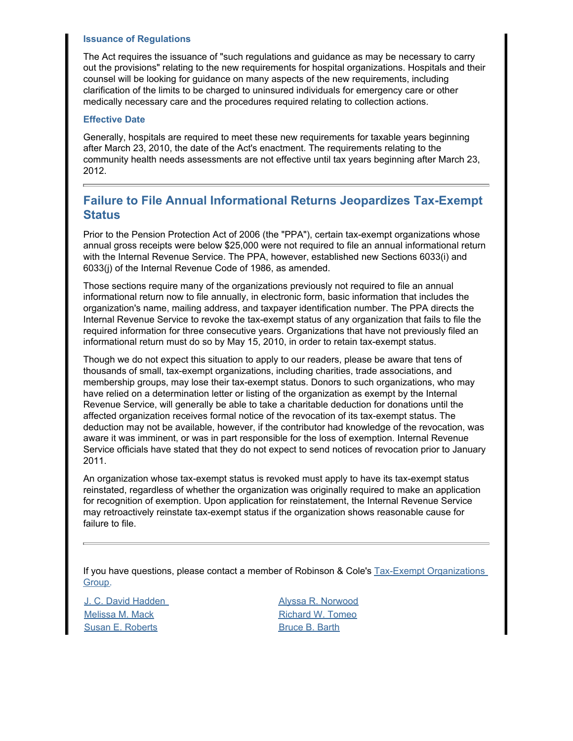### **Issuance of Regulations**

The Act requires the issuance of "such regulations and guidance as may be necessary to carry out the provisions" relating to the new requirements for hospital organizations. Hospitals and their counsel will be looking for guidance on many aspects of the new requirements, including clarification of the limits to be charged to uninsured individuals for emergency care or other medically necessary care and the procedures required relating to collection actions.

### **Effective Date**

Generally, hospitals are required to meet these new requirements for taxable years beginning after March 23, 2010, the date of the Act's enactment. The requirements relating to the community health needs assessments are not effective until tax years beginning after March 23, 2012.

# **Failure to File Annual Informational Returns Jeopardizes Tax-Exempt Status**

Prior to the Pension Protection Act of 2006 (the "PPA"), certain tax-exempt organizations whose annual gross receipts were below \$25,000 were not required to file an annual informational return with the Internal Revenue Service. The PPA, however, established new Sections 6033(i) and 6033(j) of the Internal Revenue Code of 1986, as amended.

Those sections require many of the organizations previously not required to file an annual informational return now to file annually, in electronic form, basic information that includes the organization's name, mailing address, and taxpayer identification number. The PPA directs the Internal Revenue Service to revoke the tax-exempt status of any organization that fails to file the required information for three consecutive years. Organizations that have not previously filed an informational return must do so by May 15, 2010, in order to retain tax-exempt status.

Though we do not expect this situation to apply to our readers, please be aware that tens of thousands of small, tax-exempt organizations, including charities, trade associations, and membership groups, may lose their tax-exempt status. Donors to such organizations, who may have relied on a determination letter or listing of the organization as exempt by the Internal Revenue Service, will generally be able to take a charitable deduction for donations until the affected organization receives formal notice of the revocation of its tax-exempt status. The deduction may not be available, however, if the contributor had knowledge of the revocation, was aware it was imminent, or was in part responsible for the loss of exemption. Internal Revenue Service officials have stated that they do not expect to send notices of revocation prior to January 2011.

An organization whose tax-exempt status is revoked must apply to have its tax-exempt status reinstated, regardless of whether the organization was originally required to make an application for recognition of exemption. Upon application for reinstatement, the Internal Revenue Service may retroactively reinstate tax-exempt status if the organization shows reasonable cause for failure to file.

If you have questions, please contact a member of Robinson & Cole's Tax-Exempt Organizations [Group](http://www.rc.com/?ju=fe2216767c6d0078771074&ls=fdeb10747163027b7d177372&m=fefb1671756c0d&l=fe941573716d077a75&s=fe191d757d600c7a751376&jb=ffcf14&t=).

[J. C. David Hadden](http://www.rc.com/?ju=fe2116767c6d0078771075&ls=fdeb10747163027b7d177372&m=fefb1671756c0d&l=fe941573716d077a75&s=fe191d757d600c7a751376&jb=ffcf14&t=) [Alyssa R. Norwood](http://www.rc.com/?ju=fe2016767c6d0078771076&ls=fdeb10747163027b7d177372&m=fefb1671756c0d&l=fe941573716d077a75&s=fe191d757d600c7a751376&jb=ffcf14&t=) [Melissa M. Mack](http://www.rc.com/?ju=fe1f16767c6d0078771077&ls=fdeb10747163027b7d177372&m=fefb1671756c0d&l=fe941573716d077a75&s=fe191d757d600c7a751376&jb=ffcf14&t=) **[Richard W. Tomeo](http://www.rc.com/?ju=fe1e16767c6d0078771078&ls=fdeb10747163027b7d177372&m=fefb1671756c0d&l=fe941573716d077a75&s=fe191d757d600c7a751376&jb=ffcf14&t=)** [Susan E. Roberts](http://www.rc.com/?ju=fe1d16767c6d0078771079&ls=fdeb10747163027b7d177372&m=fefb1671756c0d&l=fe941573716d077a75&s=fe191d757d600c7a751376&jb=ffcf14&t=) **[Bruce B. Barth](http://www.rc.com/?ju=fe2516767c6d0078771170&ls=fdeb10747163027b7d177372&m=fefb1671756c0d&l=fe941573716d077a75&s=fe191d757d600c7a751376&jb=ffcf14&t=)**